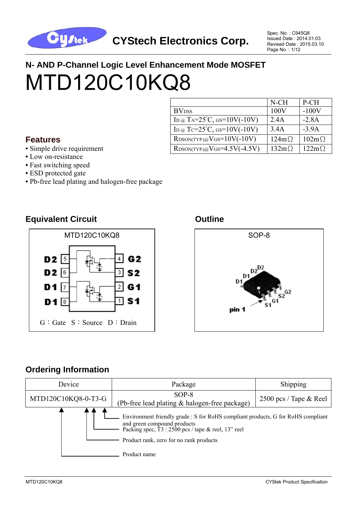

Spec. No. : C945Q8 Issued Date : 2014.01.03 Revised Date : 2015.03.10 Page No. : 1/12

# **N- AND P-Channel Logic Level Enhancement Mode MOSFET**  MTD120C10KQ8

#### **Features**

- Simple drive requirement
- Low on-resistance
- **•** Fast switching speed
- ESD protected gate
- **•** Pb-free lead plating and halogen-free package



#### **Equivalent Circuit Canadian Circuit Circuit Circuit Circuit Circuit Circuit Circuit Circuit Circuit Circuit Circuit**





### **Ordering Information**

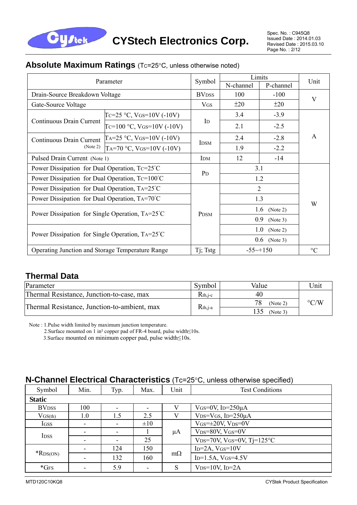

#### **Absolute Maximum Ratings** (Tc=25°C, unless otherwise noted)

| Parameter                                               |                             |                 | Limits                 | Unit            |   |
|---------------------------------------------------------|-----------------------------|-----------------|------------------------|-----------------|---|
|                                                         |                             |                 | N-channel              | P-channel       |   |
| Drain-Source Breakdown Voltage                          |                             |                 | 100                    | $-100$          | V |
| Gate-Source Voltage                                     |                             | <b>VGS</b>      | ±20                    | ±20             |   |
|                                                         | Tc=25 °C, VGs=10V (-10V)    |                 | 3.4                    | $-3.9$          | A |
| Continuous Drain Current                                | Tc=100 °C, VGs=10V (-10V)   | $\mathbf{I}$    | 2.1                    | $-2.5$          |   |
| Continuous Drain Current                                | $TA=25 °C$ , VGS=10V (-10V) | <b>IDSM</b>     | 2.4                    | $-2.8$          |   |
| (Note 2)                                                | TA=70 °C, VGS=10V (-10V)    |                 | 1.9                    | $-2.2$          |   |
| Pulsed Drain Current (Note 1)                           |                             | IDM             | 12                     | $-14$           |   |
| Power Dissipation for Dual Operation, $Tc=25^{\circ}C$  |                             |                 | 3.1                    |                 |   |
| Power Dissipation for Dual Operation, $Tc=100^{\circ}C$ | P <sub>D</sub>              | 1.2             |                        |                 |   |
| Power Dissipation for Dual Operation, TA=25°C           |                             |                 | $\overline{2}$         | W               |   |
| Power Dissipation for Dual Operation, TA=70°C           |                             |                 | 1.3                    |                 |   |
| Power Dissipation for Single Operation, TA=25°C         |                             | <b>PDSM</b>     | 1.6 (Note 2)           |                 |   |
|                                                         |                             | 0.9<br>(Note 3) |                        |                 |   |
| Power Dissipation for Single Operation, TA=25°C         |                             |                 | 1.0<br>(Note 2)        |                 |   |
|                                                         |                             |                 | $0.6$ (Note 3)         |                 |   |
| Operating Junction and Storage Temperature Range        | Tj; Tstg                    |                 | $-55 \rightarrow +150$ | $\rm ^{\circ}C$ |   |

#### **Thermal Data**

| Parameter                                    | Symbol       | Value          | Unit               |
|----------------------------------------------|--------------|----------------|--------------------|
| Thermal Resistance, Junction-to-case, max    | $R_{th,i-c}$ | 40             |                    |
| Thermal Resistance, Junction-to-ambient, max | $R_{th,j-a}$ | 78<br>(Note 2) | $\rm ^{\circ}$ C/W |
|                                              |              | (Note 3)       |                    |

Note : 1.Pulse width limited by maximum junction temperature.

2.Surface mounted on 1 in² copper pad of FR-4 board, pulse width≤10s.

3.Surface mounted on minimum copper pad, pulse width≤10s.

#### **N-Channel Electrical Characteristics** (Tc=25°C, unless otherwise specified)

| Symbol        | Min. | Typ.                     | Max.     | Unit      | <b>Test Conditions</b>                                           |  |  |
|---------------|------|--------------------------|----------|-----------|------------------------------------------------------------------|--|--|
| <b>Static</b> |      |                          |          |           |                                                                  |  |  |
| <b>BVDSS</b>  | 100  | ۰                        |          |           | VGS=0V, ID= $250\mu$ A                                           |  |  |
| $V$ GS(th)    | 1.0  | 1.5                      | 2.5      |           | $V_{DS}=V_{GS}$ , I <sub>D</sub> =250 $\mu$ A                    |  |  |
| <b>IGSS</b>   | -    | $\overline{\phantom{a}}$ | $\pm 10$ |           | $V$ GS= $\pm$ 20V, V <sub>DS</sub> =0V                           |  |  |
| <b>IDSS</b>   |      | $\blacksquare$           |          | μA        | $VDS=80V$ , $VGS=0V$                                             |  |  |
|               |      | ۰                        | 25       |           | V <sub>DS</sub> =70V, V <sub>GS</sub> =0V, T <sub>j</sub> =125°C |  |  |
|               |      | 124                      | 150      |           | $ID=2A, VGS=10V$                                                 |  |  |
| $*$ RDS(ON)   |      | 132                      | 160      | $m\Omega$ | $ID=1.5A, VGS=4.5V$                                              |  |  |
| $*$ GFS       | ۰    | 5.9                      |          | S         | $V_{DS}=10V$ , I <sub>D</sub> =2A                                |  |  |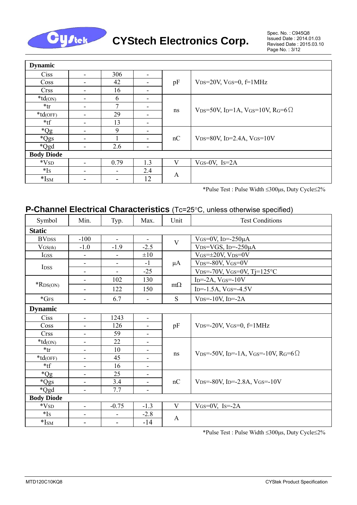

| <b>Dynamic</b>    |                          |                          |     |              |                                                                  |  |  |
|-------------------|--------------------------|--------------------------|-----|--------------|------------------------------------------------------------------|--|--|
| Ciss              | $\blacksquare$           | 306                      | -   |              |                                                                  |  |  |
| Coss              | -                        | 42                       |     | pF           | V <sub>DS</sub> =20V, V <sub>GS</sub> =0, $f=1$ MHz              |  |  |
| <b>Crss</b>       | -                        | 16                       | ۰   |              |                                                                  |  |  |
| $*td$ (ON)        | ٠                        | 6                        | ۰   |              |                                                                  |  |  |
| $*$ tr            | ٠                        | 7                        |     |              | VDS=50V, ID=1A, VGS=10V, RG=6 $\Omega$                           |  |  |
| $*td(OFF)$        | $\overline{\phantom{a}}$ | 29                       | -   | ns           |                                                                  |  |  |
| $*$ tf            |                          | 13                       |     |              |                                                                  |  |  |
| *Qg               | $\overline{\phantom{a}}$ | 9                        | -   |              |                                                                  |  |  |
| *Qgs              | $\overline{\phantom{a}}$ |                          |     | nC           | V <sub>DS</sub> =80V, I <sub>D</sub> =2.4A, V <sub>GS</sub> =10V |  |  |
| *Qgd              | ۰                        | 2.6                      |     |              |                                                                  |  |  |
| <b>Body Diode</b> |                          |                          |     |              |                                                                  |  |  |
| $*VSD$            | $\overline{\phantom{0}}$ | 0.79                     | 1.3 | V            | $V$ GS=0V, Is=2A                                                 |  |  |
| $*Is$             | $\overline{\phantom{a}}$ | $\overline{\phantom{a}}$ | 2.4 | $\mathbf{A}$ |                                                                  |  |  |
| $*ISM$            |                          |                          | 12  |              |                                                                  |  |  |

\*Pulse Test : Pulse Width ≤300μs, Duty Cycle≤2%

### **P-Channel Electrical Characteristics** (Tc=25°C, unless otherwise specified)

| Symbol                    | Min.                         | Typ.                         | Max.                     | Unit      | <b>Test Conditions</b>                                                                        |  |  |  |
|---------------------------|------------------------------|------------------------------|--------------------------|-----------|-----------------------------------------------------------------------------------------------|--|--|--|
| <b>Static</b>             |                              |                              |                          |           |                                                                                               |  |  |  |
| <b>BV</b> <sub>DSS</sub>  | $-100$                       | $\overline{\phantom{a}}$     |                          | V         | VGS=0V, Ip= $-250\mu A$                                                                       |  |  |  |
| $V$ GS(th)                | $-1.0$                       | $-1.9$                       | $-2.5$                   |           | V <sub>DS</sub> =VGS, I <sub>D</sub> =-250 $\mu$ A                                            |  |  |  |
| IGSS                      | ۰                            | $\overline{\phantom{a}}$     | $\pm 10$                 |           | $V$ GS= $\pm$ 20V, V <sub>DS</sub> =0V                                                        |  |  |  |
| I <sub>DSS</sub>          | $\overline{\phantom{a}}$     | $\overline{\phantom{a}}$     | $-1$                     | $\mu A$   | $V$ <sub>DS</sub> =-80V, V <sub>GS</sub> =0V                                                  |  |  |  |
|                           | $\overline{\phantom{a}}$     | $\overline{\phantom{a}}$     | $-25$                    |           | V <sub>DS</sub> =-70V, V <sub>GS</sub> =0V, Tj=125°C                                          |  |  |  |
|                           | $\overline{\phantom{a}}$     | 102                          | 130                      |           | $ID=-2A, VGS=-10V$                                                                            |  |  |  |
| $*$ RDS(ON)               | $\overline{\phantom{a}}$     | 122                          | 150                      | $m\Omega$ | I <sub>D</sub> =-1.5A, V <sub>GS</sub> =-4.5V                                                 |  |  |  |
| $*$ GFS                   | $\overline{\phantom{a}}$     | 6.7                          | -                        | ${\bf S}$ | $V_{DS} = -10V$ , I <sub>D</sub> =-2A                                                         |  |  |  |
| <b>Dynamic</b>            |                              |                              |                          |           |                                                                                               |  |  |  |
| Ciss                      | $\blacksquare$               | 1243                         | $\overline{\phantom{a}}$ |           |                                                                                               |  |  |  |
| Coss                      | $\blacksquare$               | 126                          | $\overline{\phantom{a}}$ | pF        | $V_{DS}$ =-20V, VGS=0, f=1MHz                                                                 |  |  |  |
| <b>Crss</b>               | $\overline{\phantom{a}}$     | 59                           | $\overline{\phantom{a}}$ |           |                                                                                               |  |  |  |
| $*td$ (ON)                | $\overline{\phantom{a}}$     | 22                           | $\overline{\phantom{a}}$ |           |                                                                                               |  |  |  |
| *tr                       | ۰                            | 10                           | $\overline{\phantom{a}}$ | ns        | V <sub>DS</sub> =-50V, I <sub>D</sub> =-1A, V <sub>GS</sub> =-10V, R <sub>G</sub> =6 $\Omega$ |  |  |  |
| $*td(OFF)$                | $\overline{\phantom{a}}$     | 45                           |                          |           |                                                                                               |  |  |  |
| $*$ tf                    | ۰                            | 16                           | $\overline{\phantom{0}}$ |           |                                                                                               |  |  |  |
| $*Qg$                     | $\overline{\phantom{a}}$     | 25                           |                          |           |                                                                                               |  |  |  |
| *Qgs                      | $\overline{\phantom{a}}$     | 3.4                          | $\blacksquare$           | nC        | V <sub>DS</sub> =-80V, I <sub>D</sub> =-2.8A, V <sub>GS</sub> =-10V                           |  |  |  |
| *Qgd                      | $\overline{\phantom{a}}$     | 7.7                          | $\blacksquare$           |           |                                                                                               |  |  |  |
| <b>Body Diode</b>         |                              |                              |                          |           |                                                                                               |  |  |  |
| $*VSD$                    | $\overline{\phantom{a}}$     | $-0.75$                      | $-1.3$                   | V         | $V$ GS=0V, Is=-2A                                                                             |  |  |  |
| $*I_S$                    | ۰                            | $\qquad \qquad \blacksquare$ | $-2.8$                   | A         |                                                                                               |  |  |  |
| $\mathrm{*I}_\mathrm{SM}$ | $\qquad \qquad \blacksquare$ | $\qquad \qquad \blacksquare$ | $-14$                    |           |                                                                                               |  |  |  |

\*Pulse Test : Pulse Width ≤300μs, Duty Cycle≤2%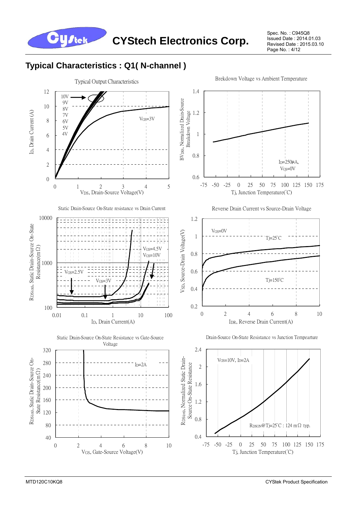

Spec. No. : C945Q8 Issued Date : 2014.01.03 Revised Date : 2015.03.10 Page No.: 4/12

### **Typical Characteristics : Q1( N-channel )**

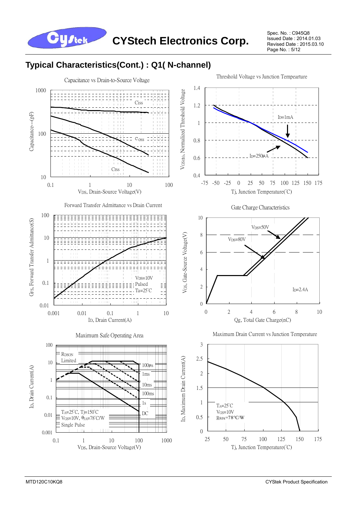![](_page_4_Picture_0.jpeg)

Spec. No. : C945Q8 Issued Date : 2014.01.03 Revised Date : 2015.03.10 Page No. : 5/12

### **Typical Characteristics(Cont.) : Q1( N-channel)**

![](_page_4_Figure_4.jpeg)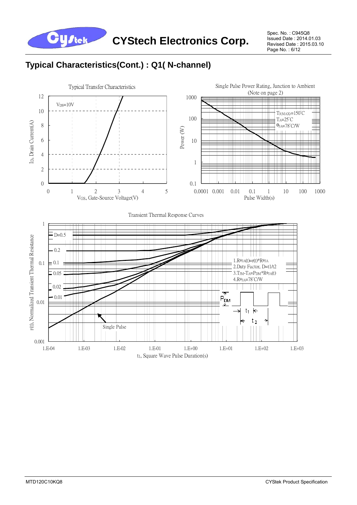![](_page_5_Picture_0.jpeg)

Spec. No. : C945Q8 Issued Date : 2014.01.03 Revised Date : 2015.03.10 Page No.: 6/12

## **Typical Characteristics(Cont.) : Q1( N-channel)**

![](_page_5_Figure_4.jpeg)

t1, Square Wave Pulse Duration(s)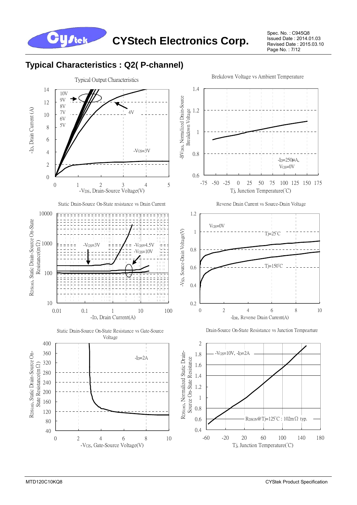![](_page_6_Picture_0.jpeg)

Spec. No. : C945Q8 Issued Date : 2014.01.03 Revised Date : 2015.03.10 Page No. : 7/12

## **Typical Characteristics : Q2( P-channel)**

![](_page_6_Figure_4.jpeg)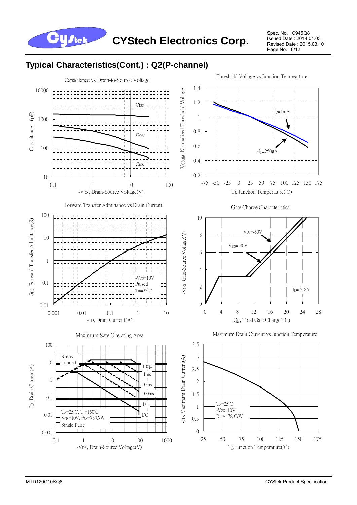**CYStech Electronics Corp.**

Spec. No. : C945Q8 Issued Date : 2014.01.03 Revised Date : 2015.03.10 Page No. : 8/12

### **Typical Characteristics(Cont.) : Q2(P-channel)**

**Y** J tek

![](_page_7_Figure_3.jpeg)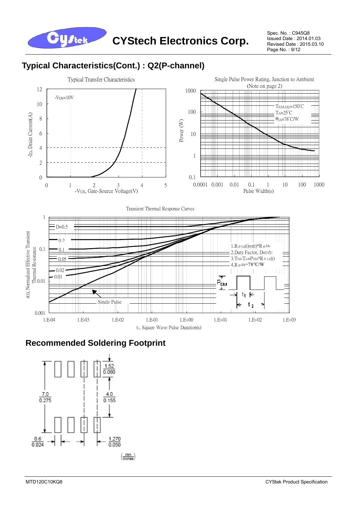![](_page_8_Picture_0.jpeg)

Spec. No. : C945Q8 Issued Date : 2014.01.03 Revised Date : 2015.03.10 Page No. : 9/12

## **Typical Characteristics(Cont.) : Q2(P-channel)**

![](_page_8_Figure_4.jpeg)

### **Recommended Soldering Footprint**

![](_page_8_Figure_6.jpeg)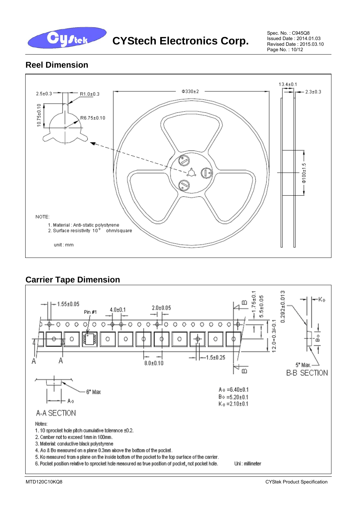![](_page_9_Picture_0.jpeg)

Spec. No. : C945Q8 Issued Date : 2014.01.03 Revised Date : 2015.03.10 Page No. : 10/12

#### **Reel Dimension**

![](_page_9_Figure_4.jpeg)

### **Carrier Tape Dimension**

![](_page_9_Figure_6.jpeg)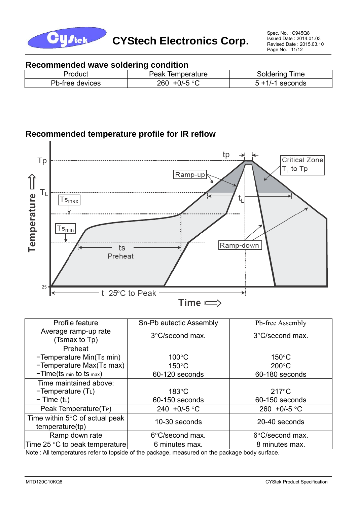![](_page_10_Picture_0.jpeg)

#### **Recommended wave soldering condition**

| Product         | Peak<br><b>lemperature</b>        | ⊺ime<br><b>SOIDETING</b> |
|-----------------|-----------------------------------|--------------------------|
| Pb-free devices | $\sim$ 500 $\sim$<br>260<br>+U/-J | seconds<br>.             |

#### **Recommended temperature profile for IR reflow**

![](_page_10_Figure_6.jpeg)

| Profile feature                                             | Sn-Pb eutectic Assembly | Pb-free Assembly       |  |  |
|-------------------------------------------------------------|-------------------------|------------------------|--|--|
| Average ramp-up rate<br>(Tsmax to Tp)                       | 3°C/second max.         | 3°C/second max.        |  |  |
| Preheat                                                     |                         |                        |  |  |
| -Temperature Min(Ts min)                                    | $100^{\circ}$ C         | $150^{\circ}$ C        |  |  |
| -Temperature Max(Ts max)                                    | $150^{\circ}$ C         | $200^{\circ}$ C        |  |  |
| $-Time(ts \text{ min to ts max})$                           | 60-120 seconds          | 60-180 seconds         |  |  |
| Time maintained above:                                      |                         |                        |  |  |
| $-Temperature (TL)$                                         | $183^{\circ}$ C         | $217^{\circ}$ C        |  |  |
| $-$ Time (t <sub>L</sub> )                                  | 60-150 seconds          | 60-150 seconds         |  |  |
| Peak Temperature(T <sub>P</sub> )                           | 240 +0/-5 $\degree$ C   | 260 +0/-5 $^{\circ}$ C |  |  |
| Time within $5^{\circ}$ C of actual peak<br>temperature(tp) | 10-30 seconds           | 20-40 seconds          |  |  |
| Ramp down rate                                              | 6°C/second max.         | 6°C/second max.        |  |  |
| Time 25 $\degree$ C to peak temperature                     | 6 minutes max.          | 8 minutes max.         |  |  |

Note : All temperatures refer to topside of the package, measured on the package body surface.